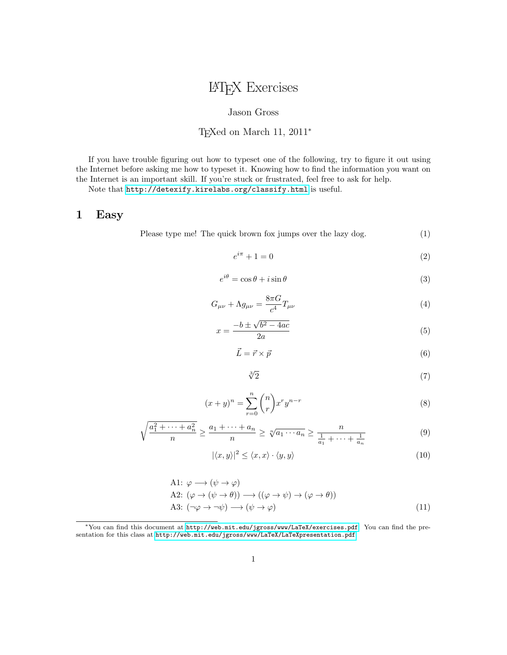# LATEX Exercises

#### Jason Gross

#### TEXed on March 11, 2011<sup>∗</sup>

If you have trouble figuring out how to typeset one of the following, try to figure it out using the Internet before asking me how to typeset it. Knowing how to find the information you want on the Internet is an important skill. If you're stuck or frustrated, feel free to ask for help.

Note that <http://detexify.kirelabs.org/classify.html> is useful.

### 1 Easy

Please type me! The quick brown fox jumps over the lazy dog. (1)

$$
e^{i\pi} + 1 = 0\tag{2}
$$

$$
e^{i\theta} = \cos\theta + i\sin\theta\tag{3}
$$

$$
G_{\mu\nu} + \Lambda g_{\mu\nu} = \frac{8\pi G}{c^4} T_{\mu\nu} \tag{4}
$$

$$
x = \frac{-b \pm \sqrt{b^2 - 4ac}}{2a} \tag{5}
$$

$$
\vec{L} = \vec{r} \times \vec{p} \tag{6}
$$

$$
\sqrt[3]{2} \tag{7}
$$

$$
(x+y)^n = \sum_{r=0}^n \binom{n}{r} x^r y^{n-r}
$$
 (8)

$$
\sqrt{\frac{a_1^2 + \dots + a_n^2}{n}} \ge \frac{a_1 + \dots + a_n}{n} \ge \sqrt[n]{a_1 \cdots a_n} \ge \frac{n}{\frac{1}{a_1} + \dots + \frac{1}{a_n}}
$$
(9)

$$
|\langle x, y \rangle|^2 \le \langle x, x \rangle \cdot \langle y, y \rangle \tag{10}
$$

A1: 
$$
\varphi \longrightarrow (\psi \rightarrow \varphi)
$$
  
A2:  $(\varphi \rightarrow (\psi \rightarrow \theta)) \longrightarrow ((\varphi \rightarrow \psi) \rightarrow (\varphi \rightarrow \theta))$   
A3:  $(\neg \varphi \rightarrow \neg \psi) \longrightarrow (\psi \rightarrow \varphi)$  (11)

<sup>∗</sup>You can find this document at <http://web.mit.edu/jgross/www/LaTeX/exercises.pdf>. You can find the presentation for this class at <http://web.mit.edu/jgross/www/LaTeX/LaTeXpresentation.pdf>.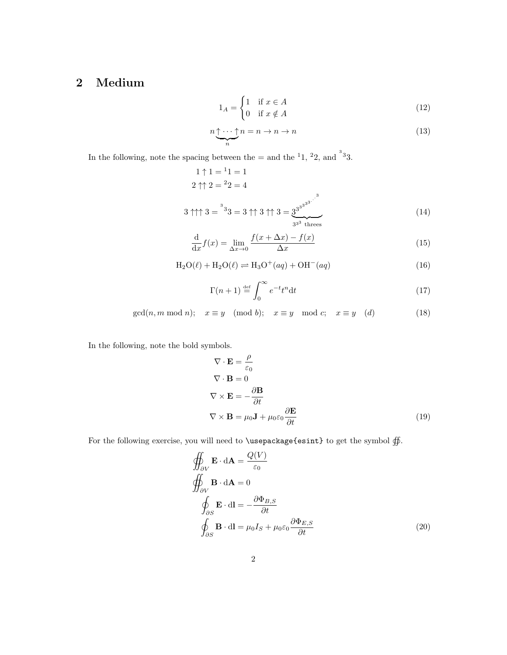# 2 Medium

$$
1_A = \begin{cases} 1 & \text{if } x \in A \\ 0 & \text{if } x \notin A \end{cases}
$$
 (12)

$$
n \underbrace{\uparrow \cdots \uparrow}_{n} n = n \to n \to n \tag{13}
$$

In the following, note the spacing between the  $=$  and the  $1, 2, 2$ , and  $3, 3$ .

1 ↑ 1 = <sup>1</sup> 1 = 1 2 ↑↑ 2 = <sup>2</sup> 2 = 4 3 ↑↑↑ 3 = 3 3 3 = 3 ↑↑ 3 ↑↑ 3 = 3<sup>3</sup> 3 3 3 3 . . . 3 | {z } 3 33 threes (14)

$$
\frac{\mathrm{d}}{\mathrm{d}x}f(x) = \lim_{\Delta x \to 0} \frac{f(x + \Delta x) - f(x)}{\Delta x} \tag{15}
$$

$$
H_2O(\ell) + H_2O(\ell) \rightleftharpoons H_3O^+(aq) + OH^-(aq)
$$
\n(16)

$$
\Gamma(n+1) \stackrel{\text{def}}{=} \int_0^\infty e^{-t} t^n dt \tag{17}
$$

$$
\gcd(n, m \mod n); \quad x \equiv y \pmod{b}; \quad x \equiv y \mod c; \quad x \equiv y \pmod{d}
$$
 (18)

In the following, note the bold symbols.

$$
\nabla \cdot \mathbf{E} = \frac{\rho}{\varepsilon_0}
$$
  
\n
$$
\nabla \cdot \mathbf{B} = 0
$$
  
\n
$$
\nabla \times \mathbf{E} = -\frac{\partial \mathbf{B}}{\partial t}
$$
  
\n
$$
\nabla \times \mathbf{B} = \mu_0 \mathbf{J} + \mu_0 \varepsilon_0 \frac{\partial \mathbf{E}}{\partial t}
$$
 (19)

For the following exercise, you will need to **\usepackage{esint}** to get the symbol  $\oiint$ .

$$
\oiint_{\partial V} \mathbf{E} \cdot d\mathbf{A} = \frac{Q(V)}{\varepsilon_0}
$$
\n
$$
\oiint_{\partial V} \mathbf{B} \cdot d\mathbf{A} = 0
$$
\n
$$
\oint_{\partial S} \mathbf{E} \cdot d\mathbf{l} = -\frac{\partial \Phi_{B,S}}{\partial t}
$$
\n
$$
\oint_{\partial S} \mathbf{B} \cdot d\mathbf{l} = \mu_0 I_S + \mu_0 \varepsilon_0 \frac{\partial \Phi_{E,S}}{\partial t}
$$
\n(20)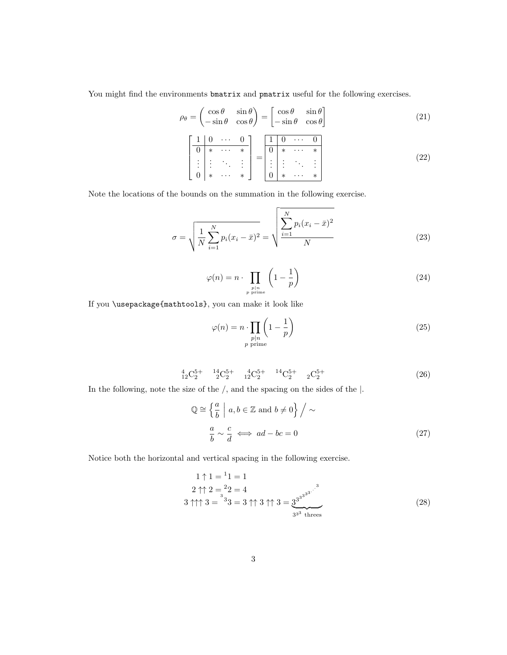You might find the environments bmatrix and pmatrix useful for the following exercises.

$$
\rho_{\theta} = \begin{pmatrix} \cos \theta & \sin \theta \\ -\sin \theta & \cos \theta \end{pmatrix} = \begin{bmatrix} \cos \theta & \sin \theta \\ -\sin \theta & \cos \theta \end{bmatrix}
$$
(21)  

$$
\begin{bmatrix} 1 & 0 & \cdots & 0 \\ 0 & * & \cdots & * \\ \vdots & \vdots & \ddots & \vdots \\ 0 & * & \cdots & * \end{bmatrix} = \begin{bmatrix} 1 & 0 & \cdots & 0 \\ 0 & * & \cdots & * \\ \vdots & \vdots & \ddots & \vdots \\ 0 & * & \cdots & * \end{bmatrix}
$$
(22)

Note the locations of the bounds on the summation in the following exercise.

$$
\sigma = \sqrt{\frac{1}{N} \sum_{i=1}^{N} p_i (x_i - \bar{x})^2} = \sqrt{\frac{\sum_{i=1}^{N} p_i (x_i - \bar{x})^2}{N}}
$$
(23)

$$
\varphi(n) = n \cdot \prod_{\substack{p \mid n \\ p \text{ prime}}} \left(1 - \frac{1}{p}\right) \tag{24}
$$

If you \usepackage{mathtools}, you can make it look like

$$
\varphi(n) = n \cdot \prod_{\substack{p|n \\ p \text{ prime}}} \left(1 - \frac{1}{p}\right)
$$
\n(25)

$$
{}_{12}^{4}C_{2}^{5+} \t {}_{2}^{14}C_{2}^{5+} \t {}_{12}^{4}C_{2}^{5+} \t {}_{14}^{14}C_{2}^{5+} \t {}_{2}C_{2}^{5+} \t (26)
$$

In the following, note the size of the /, and the spacing on the sides of the |.

$$
\mathbb{Q} \cong \left\{ \frac{a}{b} \mid a, b \in \mathbb{Z} \text{ and } b \neq 0 \right\} / \sim
$$
\n
$$
\frac{a}{b} \sim \frac{c}{d} \iff ad - bc = 0 \tag{27}
$$

Notice both the horizontal and vertical spacing in the following exercise.

1 ↑ 1 = <sup>1</sup> 1 = 1 2 ↑↑ 2 = <sup>2</sup> 2 = 4 3 ↑↑↑ 3 = 3 3 3 = 3 ↑↑ 3 ↑↑ 3 = 3<sup>3</sup> 3 3 3 3 . . . 3 | {z } 3 33 threes (28)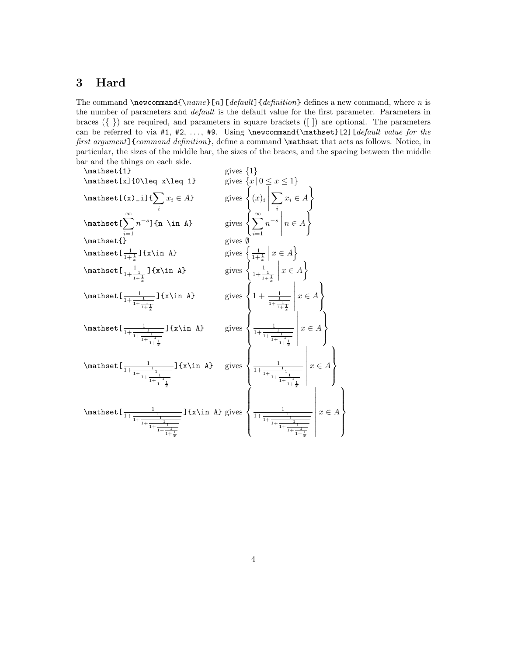## 3 Hard

The command  $\n\mean d\{\name}[n][default] \{definition\}$  definition a new command, where n is the number of parameters and *default* is the default value for the first parameter. Parameters in braces ({ }) are required, and parameters in square brackets ([ ]) are optional. The parameters can be referred to via  $#1, #2, ..., #9$ . Using \newcommand{\mathset}[2][default value for the first argument] {command definition}, define a command \mathset that acts as follows. Notice, in particular, the sizes of the middle bar, the sizes of the braces, and the spacing between the middle bar and the things on each side.